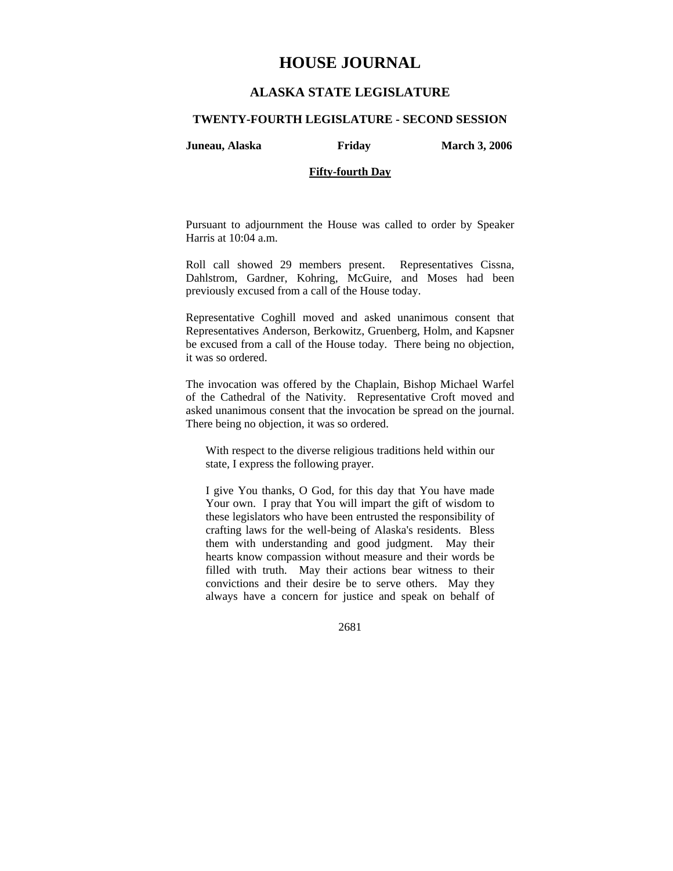# **HOUSE JOURNAL**

## **ALASKA STATE LEGISLATURE**

#### **TWENTY-FOURTH LEGISLATURE - SECOND SESSION**

**Juneau, Alaska Friday March 3, 2006** 

## **Fifty-fourth Day**

Pursuant to adjournment the House was called to order by Speaker Harris at 10:04 a.m.

Roll call showed 29 members present. Representatives Cissna, Dahlstrom, Gardner, Kohring, McGuire, and Moses had been previously excused from a call of the House today.

Representative Coghill moved and asked unanimous consent that Representatives Anderson, Berkowitz, Gruenberg, Holm, and Kapsner be excused from a call of the House today. There being no objection, it was so ordered.

The invocation was offered by the Chaplain, Bishop Michael Warfel of the Cathedral of the Nativity. Representative Croft moved and asked unanimous consent that the invocation be spread on the journal. There being no objection, it was so ordered.

With respect to the diverse religious traditions held within our state, I express the following prayer.

I give You thanks, O God, for this day that You have made Your own. I pray that You will impart the gift of wisdom to these legislators who have been entrusted the responsibility of crafting laws for the well-being of Alaska's residents. Bless them with understanding and good judgment. May their hearts know compassion without measure and their words be filled with truth. May their actions bear witness to their convictions and their desire be to serve others. May they always have a concern for justice and speak on behalf of

2681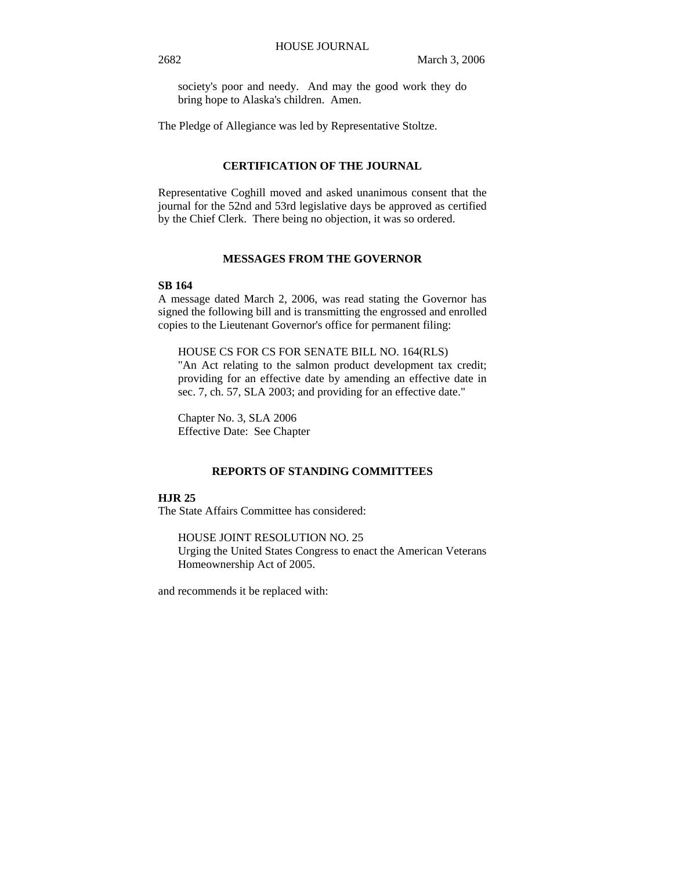society's poor and needy. And may the good work they do bring hope to Alaska's children. Amen.

The Pledge of Allegiance was led by Representative Stoltze.

## **CERTIFICATION OF THE JOURNAL**

Representative Coghill moved and asked unanimous consent that the journal for the 52nd and 53rd legislative days be approved as certified by the Chief Clerk. There being no objection, it was so ordered.

## **MESSAGES FROM THE GOVERNOR**

## **SB 164**

A message dated March 2, 2006, was read stating the Governor has signed the following bill and is transmitting the engrossed and enrolled copies to the Lieutenant Governor's office for permanent filing:

#### HOUSE CS FOR CS FOR SENATE BILL NO. 164(RLS)

"An Act relating to the salmon product development tax credit; providing for an effective date by amending an effective date in sec. 7, ch. 57, SLA 2003; and providing for an effective date."

Chapter No. 3, SLA 2006 Effective Date: See Chapter

## **REPORTS OF STANDING COMMITTEES**

## **HJR 25**

The State Affairs Committee has considered:

HOUSE JOINT RESOLUTION NO. 25 Urging the United States Congress to enact the American Veterans Homeownership Act of 2005.

and recommends it be replaced with: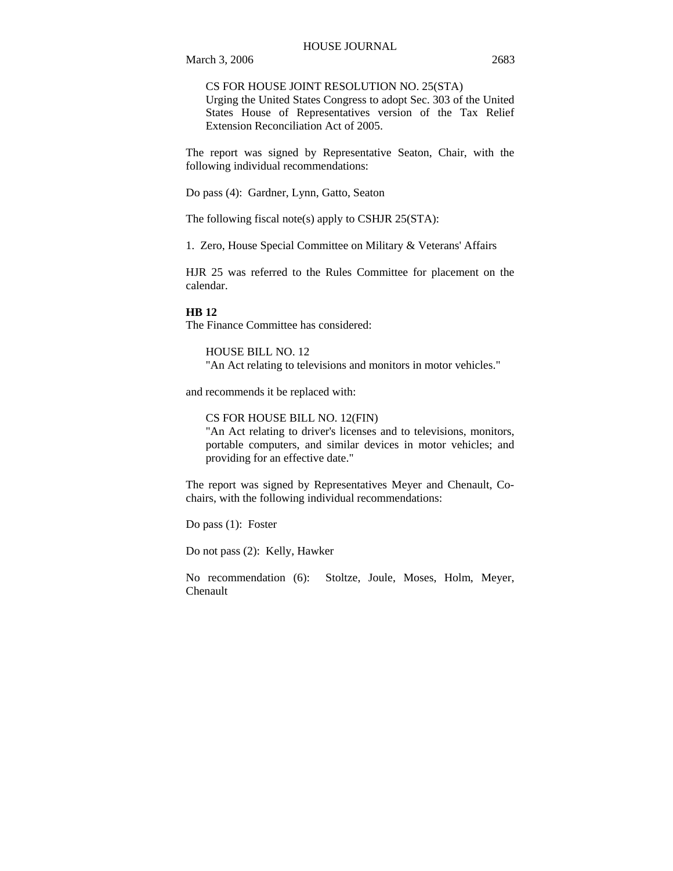CS FOR HOUSE JOINT RESOLUTION NO. 25(STA)

Urging the United States Congress to adopt Sec. 303 of the United States House of Representatives version of the Tax Relief Extension Reconciliation Act of 2005.

The report was signed by Representative Seaton, Chair, with the following individual recommendations:

Do pass (4): Gardner, Lynn, Gatto, Seaton

The following fiscal note(s) apply to CSHJR 25(STA):

1. Zero, House Special Committee on Military & Veterans' Affairs

HJR 25 was referred to the Rules Committee for placement on the calendar.

#### **HB 12**

The Finance Committee has considered:

HOUSE BILL NO. 12 "An Act relating to televisions and monitors in motor vehicles."

and recommends it be replaced with:

CS FOR HOUSE BILL NO. 12(FIN)

"An Act relating to driver's licenses and to televisions, monitors, portable computers, and similar devices in motor vehicles; and providing for an effective date."

The report was signed by Representatives Meyer and Chenault, Cochairs, with the following individual recommendations:

Do pass (1): Foster

Do not pass (2): Kelly, Hawker

No recommendation (6): Stoltze, Joule, Moses, Holm, Meyer, Chenault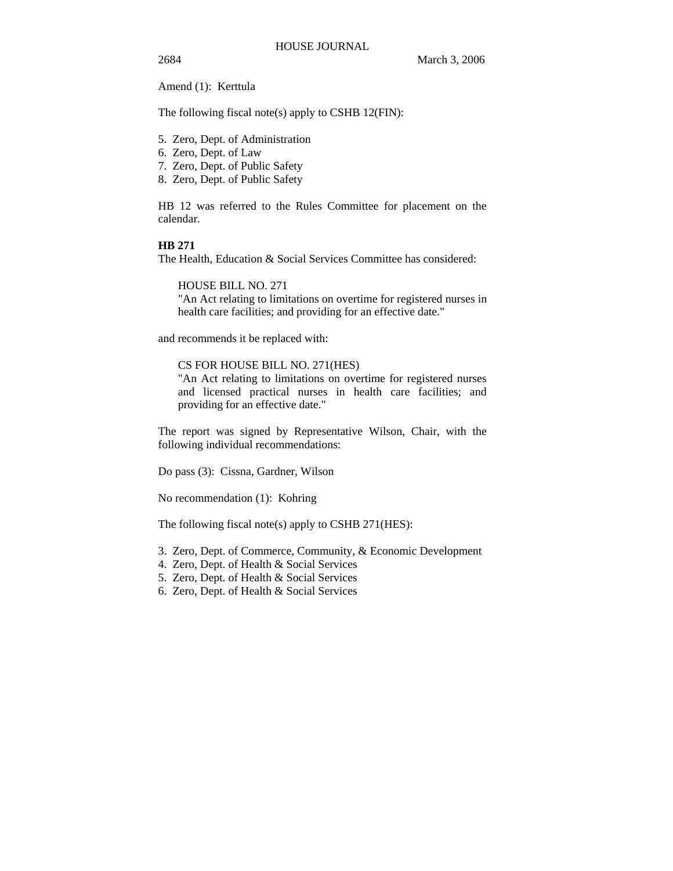Amend (1): Kerttula

The following fiscal note(s) apply to CSHB 12(FIN):

- 5. Zero, Dept. of Administration
- 6. Zero, Dept. of Law
- 7. Zero, Dept. of Public Safety
- 8. Zero, Dept. of Public Safety

HB 12 was referred to the Rules Committee for placement on the calendar.

## **HB 271**

The Health, Education & Social Services Committee has considered:

HOUSE BILL NO. 271

"An Act relating to limitations on overtime for registered nurses in health care facilities; and providing for an effective date."

and recommends it be replaced with:

## CS FOR HOUSE BILL NO. 271(HES)

"An Act relating to limitations on overtime for registered nurses and licensed practical nurses in health care facilities; and providing for an effective date."

The report was signed by Representative Wilson, Chair, with the following individual recommendations:

Do pass (3): Cissna, Gardner, Wilson

No recommendation (1): Kohring

The following fiscal note(s) apply to CSHB 271(HES):

- 3. Zero, Dept. of Commerce, Community, & Economic Development
- 4. Zero, Dept. of Health & Social Services
- 5. Zero, Dept. of Health & Social Services
- 6. Zero, Dept. of Health & Social Services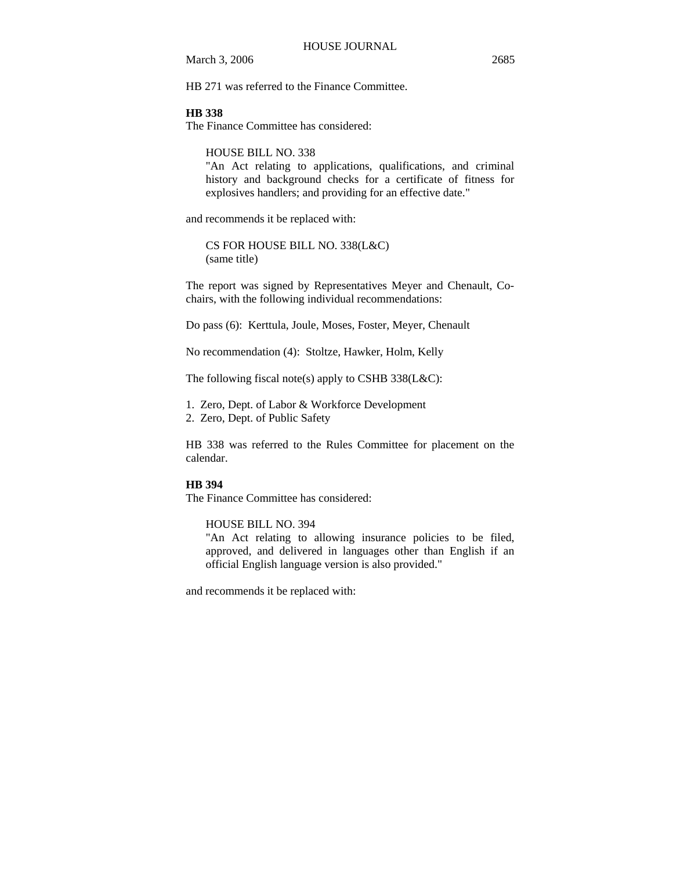HB 271 was referred to the Finance Committee.

#### **HB 338**

The Finance Committee has considered:

HOUSE BILL NO. 338

"An Act relating to applications, qualifications, and criminal history and background checks for a certificate of fitness for explosives handlers; and providing for an effective date."

and recommends it be replaced with:

CS FOR HOUSE BILL NO. 338(L&C) (same title)

The report was signed by Representatives Meyer and Chenault, Cochairs, with the following individual recommendations:

Do pass (6): Kerttula, Joule, Moses, Foster, Meyer, Chenault

No recommendation (4): Stoltze, Hawker, Holm, Kelly

The following fiscal note(s) apply to CSHB 338(L&C):

1. Zero, Dept. of Labor & Workforce Development

2. Zero, Dept. of Public Safety

HB 338 was referred to the Rules Committee for placement on the calendar.

#### **HB 394**

The Finance Committee has considered:

HOUSE BILL NO. 394

"An Act relating to allowing insurance policies to be filed, approved, and delivered in languages other than English if an official English language version is also provided."

and recommends it be replaced with: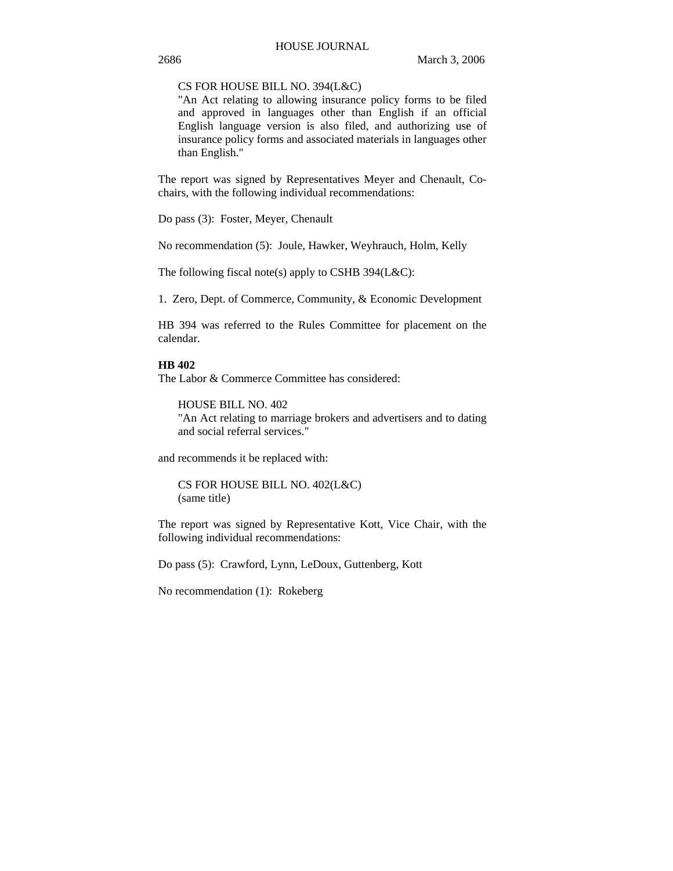#### CS FOR HOUSE BILL NO. 394(L&C)

"An Act relating to allowing insurance policy forms to be filed and approved in languages other than English if an official English language version is also filed, and authorizing use of insurance policy forms and associated materials in languages other than English."

The report was signed by Representatives Meyer and Chenault, Cochairs, with the following individual recommendations:

Do pass (3): Foster, Meyer, Chenault

No recommendation (5): Joule, Hawker, Weyhrauch, Holm, Kelly

The following fiscal note(s) apply to CSHB 394(L&C):

1. Zero, Dept. of Commerce, Community, & Economic Development

HB 394 was referred to the Rules Committee for placement on the calendar.

## **HB 402**

The Labor & Commerce Committee has considered:

HOUSE BILL NO. 402 "An Act relating to marriage brokers and advertisers and to dating and social referral services."

and recommends it be replaced with:

CS FOR HOUSE BILL NO. 402(L&C) (same title)

The report was signed by Representative Kott, Vice Chair, with the following individual recommendations:

Do pass (5): Crawford, Lynn, LeDoux, Guttenberg, Kott

No recommendation (1): Rokeberg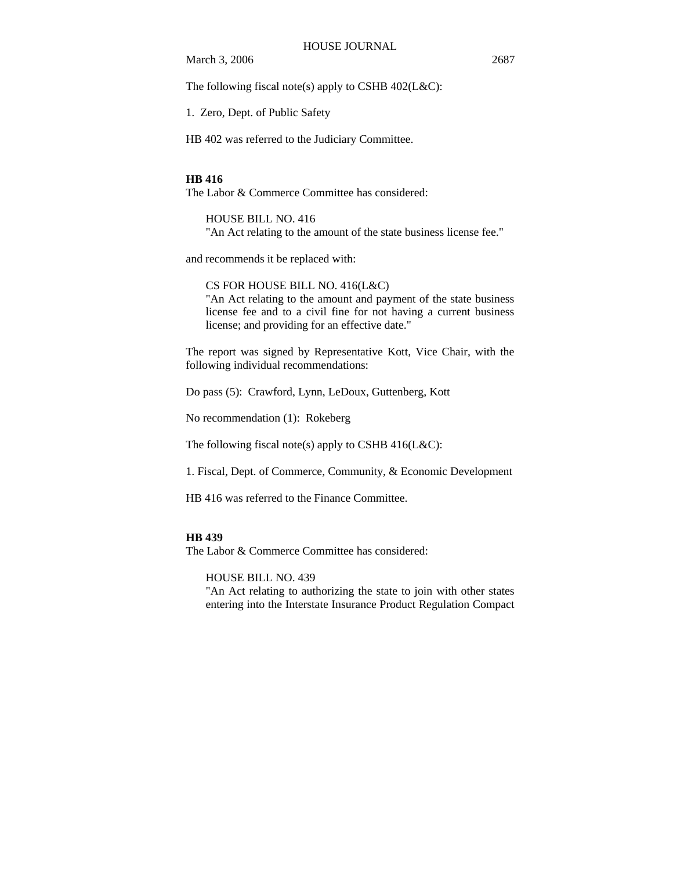The following fiscal note(s) apply to CSHB  $402$ (L&C):

1. Zero, Dept. of Public Safety

HB 402 was referred to the Judiciary Committee.

#### **HB 416**

The Labor & Commerce Committee has considered:

## HOUSE BILL NO. 416

"An Act relating to the amount of the state business license fee."

and recommends it be replaced with:

CS FOR HOUSE BILL NO. 416(L&C) "An Act relating to the amount and payment of the state business license fee and to a civil fine for not having a current business license; and providing for an effective date."

The report was signed by Representative Kott, Vice Chair, with the following individual recommendations:

Do pass (5): Crawford, Lynn, LeDoux, Guttenberg, Kott

No recommendation (1): Rokeberg

The following fiscal note(s) apply to CSHB 416(L&C):

1. Fiscal, Dept. of Commerce, Community, & Economic Development

HB 416 was referred to the Finance Committee.

## **HB 439**

The Labor & Commerce Committee has considered:

HOUSE BILL NO. 439

"An Act relating to authorizing the state to join with other states entering into the Interstate Insurance Product Regulation Compact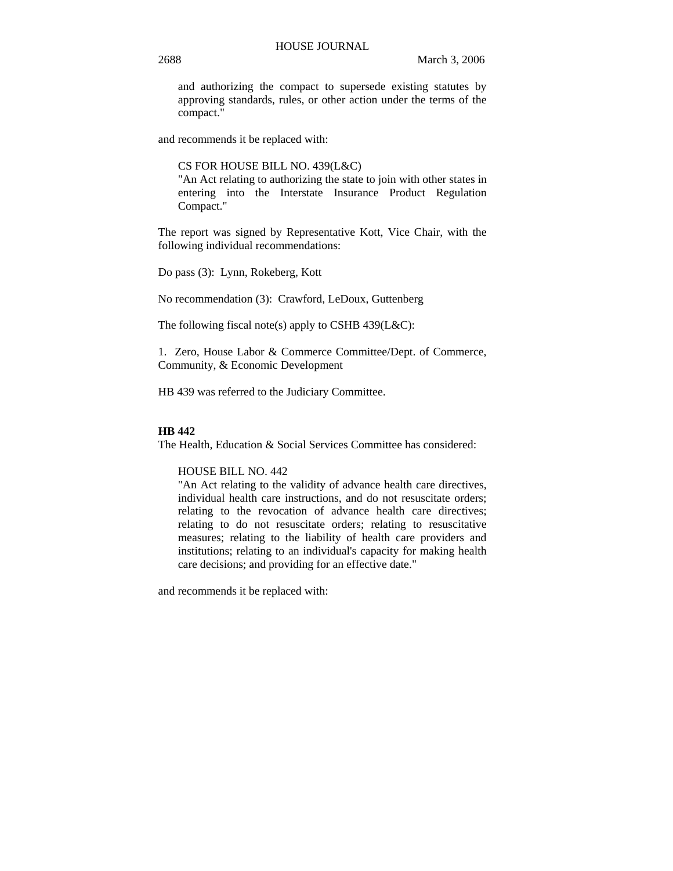and authorizing the compact to supersede existing statutes by approving standards, rules, or other action under the terms of the compact."

and recommends it be replaced with:

CS FOR HOUSE BILL NO. 439(L&C)

"An Act relating to authorizing the state to join with other states in entering into the Interstate Insurance Product Regulation Compact."

The report was signed by Representative Kott, Vice Chair, with the following individual recommendations:

Do pass (3): Lynn, Rokeberg, Kott

No recommendation (3): Crawford, LeDoux, Guttenberg

The following fiscal note(s) apply to CSHB 439(L&C):

1. Zero, House Labor & Commerce Committee/Dept. of Commerce, Community, & Economic Development

HB 439 was referred to the Judiciary Committee.

## **HB 442**

The Health, Education & Social Services Committee has considered:

## HOUSE BILL NO. 442

"An Act relating to the validity of advance health care directives, individual health care instructions, and do not resuscitate orders; relating to the revocation of advance health care directives; relating to do not resuscitate orders; relating to resuscitative measures; relating to the liability of health care providers and institutions; relating to an individual's capacity for making health care decisions; and providing for an effective date."

and recommends it be replaced with: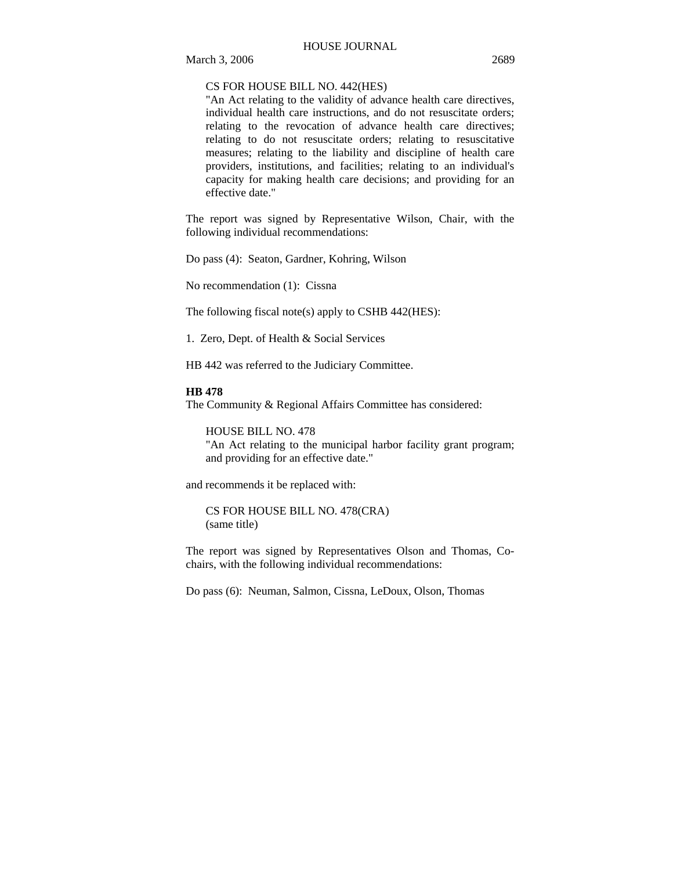#### HOUSE JOURNAL

## CS FOR HOUSE BILL NO. 442(HES)

"An Act relating to the validity of advance health care directives, individual health care instructions, and do not resuscitate orders; relating to the revocation of advance health care directives; relating to do not resuscitate orders; relating to resuscitative measures; relating to the liability and discipline of health care providers, institutions, and facilities; relating to an individual's capacity for making health care decisions; and providing for an effective date."

The report was signed by Representative Wilson, Chair, with the following individual recommendations:

Do pass (4): Seaton, Gardner, Kohring, Wilson

No recommendation (1): Cissna

The following fiscal note(s) apply to CSHB 442(HES):

1. Zero, Dept. of Health & Social Services

HB 442 was referred to the Judiciary Committee.

#### **HB 478**

The Community & Regional Affairs Committee has considered:

HOUSE BILL NO. 478

"An Act relating to the municipal harbor facility grant program; and providing for an effective date."

and recommends it be replaced with:

CS FOR HOUSE BILL NO. 478(CRA) (same title)

The report was signed by Representatives Olson and Thomas, Cochairs, with the following individual recommendations:

Do pass (6): Neuman, Salmon, Cissna, LeDoux, Olson, Thomas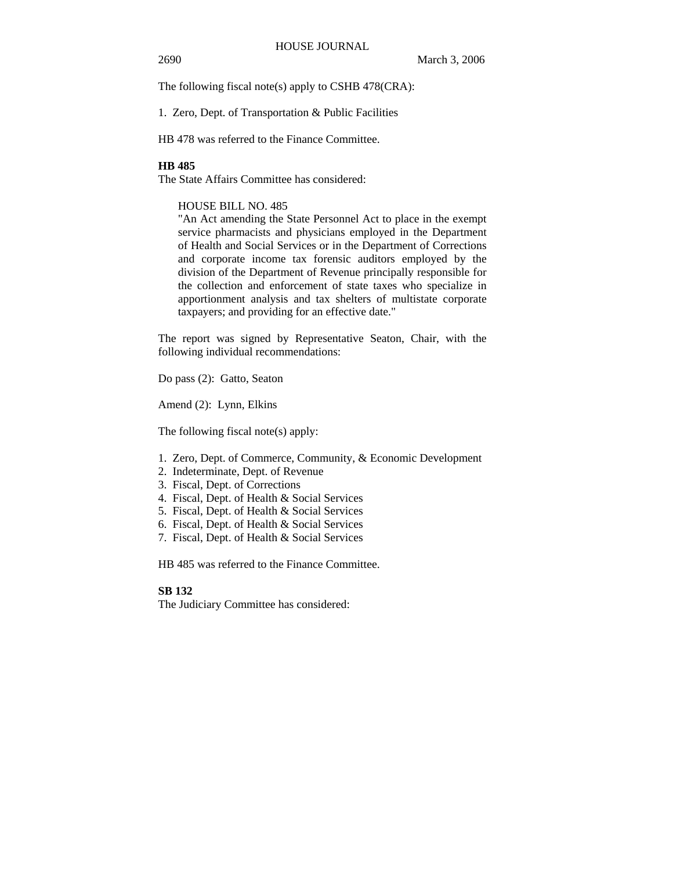The following fiscal note(s) apply to CSHB 478(CRA):

1. Zero, Dept. of Transportation & Public Facilities

HB 478 was referred to the Finance Committee.

#### **HB 485**

The State Affairs Committee has considered:

#### HOUSE BILL NO. 485

"An Act amending the State Personnel Act to place in the exempt service pharmacists and physicians employed in the Department of Health and Social Services or in the Department of Corrections and corporate income tax forensic auditors employed by the division of the Department of Revenue principally responsible for the collection and enforcement of state taxes who specialize in apportionment analysis and tax shelters of multistate corporate taxpayers; and providing for an effective date."

The report was signed by Representative Seaton, Chair, with the following individual recommendations:

Do pass (2): Gatto, Seaton

Amend (2): Lynn, Elkins

The following fiscal note(s) apply:

- 1. Zero, Dept. of Commerce, Community, & Economic Development
- 2. Indeterminate, Dept. of Revenue
- 3. Fiscal, Dept. of Corrections
- 4. Fiscal, Dept. of Health & Social Services
- 5. Fiscal, Dept. of Health & Social Services
- 6. Fiscal, Dept. of Health & Social Services
- 7. Fiscal, Dept. of Health & Social Services

HB 485 was referred to the Finance Committee.

## **SB 132**

The Judiciary Committee has considered: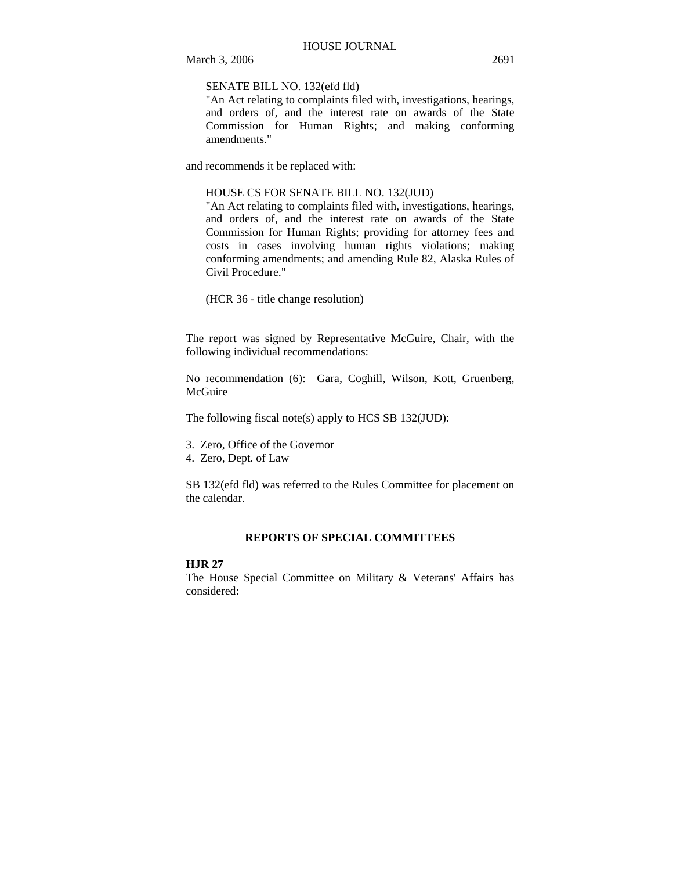SENATE BILL NO. 132(efd fld)

"An Act relating to complaints filed with, investigations, hearings, and orders of, and the interest rate on awards of the State Commission for Human Rights; and making conforming amendments."

and recommends it be replaced with:

#### HOUSE CS FOR SENATE BILL NO. 132(JUD)

"An Act relating to complaints filed with, investigations, hearings, and orders of, and the interest rate on awards of the State Commission for Human Rights; providing for attorney fees and costs in cases involving human rights violations; making conforming amendments; and amending Rule 82, Alaska Rules of Civil Procedure."

(HCR 36 - title change resolution)

The report was signed by Representative McGuire, Chair, with the following individual recommendations:

No recommendation (6): Gara, Coghill, Wilson, Kott, Gruenberg, **McGuire** 

The following fiscal note(s) apply to HCS SB 132(JUD):

- 3. Zero, Office of the Governor
- 4. Zero, Dept. of Law

SB 132(efd fld) was referred to the Rules Committee for placement on the calendar.

## **REPORTS OF SPECIAL COMMITTEES**

## **HJR 27**

The House Special Committee on Military & Veterans' Affairs has considered: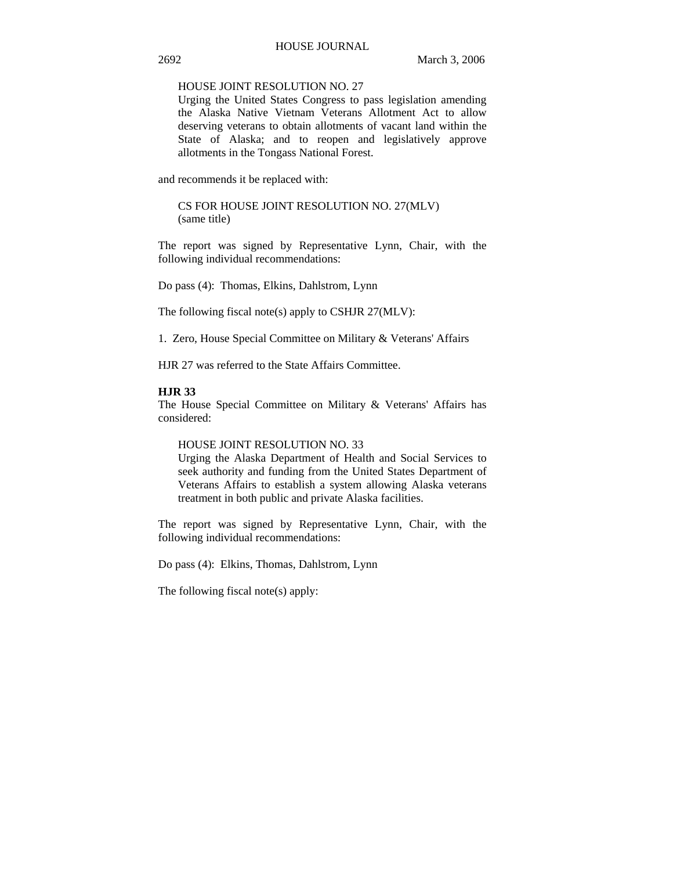## HOUSE JOINT RESOLUTION NO. 27

Urging the United States Congress to pass legislation amending the Alaska Native Vietnam Veterans Allotment Act to allow deserving veterans to obtain allotments of vacant land within the State of Alaska; and to reopen and legislatively approve allotments in the Tongass National Forest.

and recommends it be replaced with:

CS FOR HOUSE JOINT RESOLUTION NO. 27(MLV) (same title)

The report was signed by Representative Lynn, Chair, with the following individual recommendations:

Do pass (4): Thomas, Elkins, Dahlstrom, Lynn

The following fiscal note(s) apply to CSHJR 27(MLV):

1. Zero, House Special Committee on Military & Veterans' Affairs

HJR 27 was referred to the State Affairs Committee.

#### **HJR 33**

The House Special Committee on Military & Veterans' Affairs has considered:

#### HOUSE JOINT RESOLUTION NO. 33

Urging the Alaska Department of Health and Social Services to seek authority and funding from the United States Department of Veterans Affairs to establish a system allowing Alaska veterans treatment in both public and private Alaska facilities.

The report was signed by Representative Lynn, Chair, with the following individual recommendations:

Do pass (4): Elkins, Thomas, Dahlstrom, Lynn

The following fiscal note(s) apply: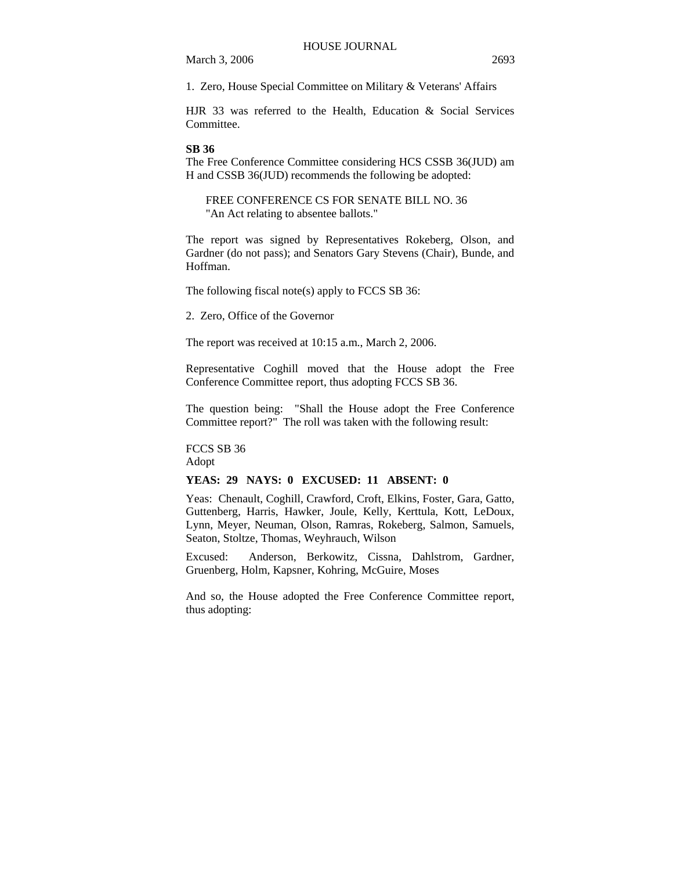1. Zero, House Special Committee on Military & Veterans' Affairs

HJR 33 was referred to the Health, Education & Social Services Committee.

#### **SB 36**

The Free Conference Committee considering HCS CSSB 36(JUD) am H and CSSB 36(JUD) recommends the following be adopted:

FREE CONFERENCE CS FOR SENATE BILL NO. 36 "An Act relating to absentee ballots."

The report was signed by Representatives Rokeberg, Olson, and Gardner (do not pass); and Senators Gary Stevens (Chair), Bunde, and Hoffman.

The following fiscal note(s) apply to FCCS SB 36:

2. Zero, Office of the Governor

The report was received at 10:15 a.m., March 2, 2006.

Representative Coghill moved that the House adopt the Free Conference Committee report, thus adopting FCCS SB 36.

The question being: "Shall the House adopt the Free Conference Committee report?" The roll was taken with the following result:

FCCS SB 36

Adopt

## **YEAS: 29 NAYS: 0 EXCUSED: 11 ABSENT: 0**

Yeas: Chenault, Coghill, Crawford, Croft, Elkins, Foster, Gara, Gatto, Guttenberg, Harris, Hawker, Joule, Kelly, Kerttula, Kott, LeDoux, Lynn, Meyer, Neuman, Olson, Ramras, Rokeberg, Salmon, Samuels, Seaton, Stoltze, Thomas, Weyhrauch, Wilson

Excused: Anderson, Berkowitz, Cissna, Dahlstrom, Gardner, Gruenberg, Holm, Kapsner, Kohring, McGuire, Moses

And so, the House adopted the Free Conference Committee report, thus adopting: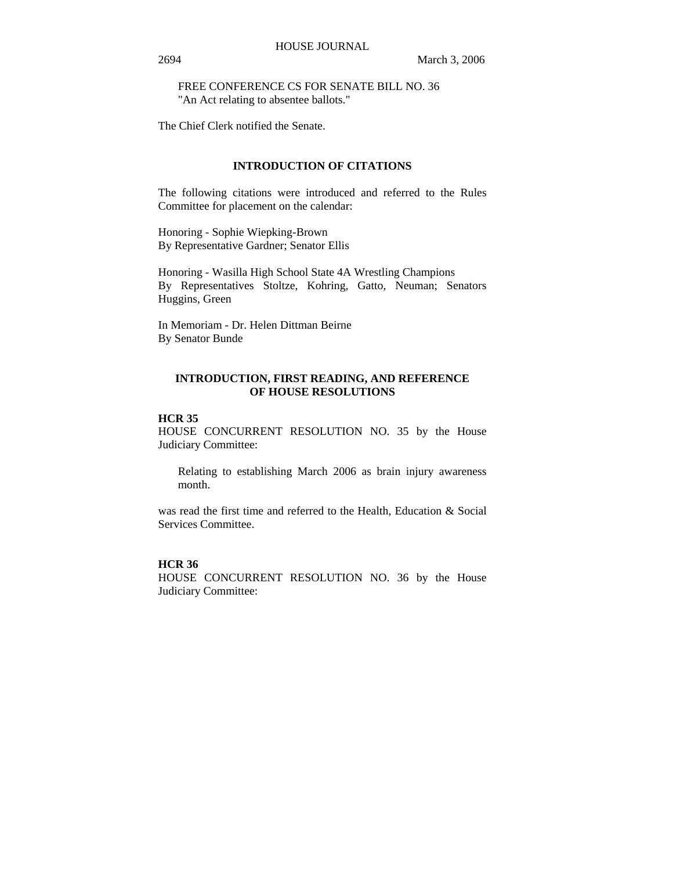FREE CONFERENCE CS FOR SENATE BILL NO. 36 "An Act relating to absentee ballots."

The Chief Clerk notified the Senate.

## **INTRODUCTION OF CITATIONS**

The following citations were introduced and referred to the Rules Committee for placement on the calendar:

Honoring - Sophie Wiepking-Brown By Representative Gardner; Senator Ellis

Honoring - Wasilla High School State 4A Wrestling Champions By Representatives Stoltze, Kohring, Gatto, Neuman; Senators Huggins, Green

In Memoriam - Dr. Helen Dittman Beirne By Senator Bunde

## **INTRODUCTION, FIRST READING, AND REFERENCE OF HOUSE RESOLUTIONS**

## **HCR 35**

HOUSE CONCURRENT RESOLUTION NO. 35 by the House Judiciary Committee:

Relating to establishing March 2006 as brain injury awareness month.

was read the first time and referred to the Health. Education & Social Services Committee.

## **HCR 36**

HOUSE CONCURRENT RESOLUTION NO. 36 by the House Judiciary Committee: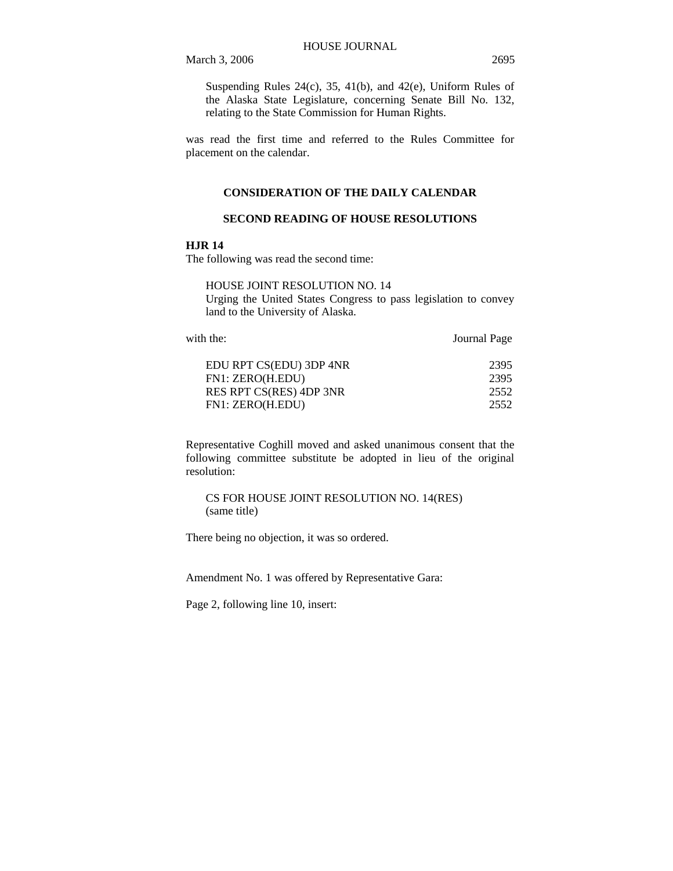Suspending Rules 24(c), 35, 41(b), and 42(e), Uniform Rules of the Alaska State Legislature, concerning Senate Bill No. 132, relating to the State Commission for Human Rights.

was read the first time and referred to the Rules Committee for placement on the calendar.

#### **CONSIDERATION OF THE DAILY CALENDAR**

## **SECOND READING OF HOUSE RESOLUTIONS**

## **HJR 14**

The following was read the second time:

HOUSE JOINT RESOLUTION NO. 14 Urging the United States Congress to pass legislation to convey land to the University of Alaska.

| with the:               | Journal Page |
|-------------------------|--------------|
| EDU RPT CS(EDU) 3DP 4NR | 2395         |
| FN1: ZERO(H.EDU)        | 2395         |
| RES RPT CS(RES) 4DP 3NR | 2552         |
| FN1: ZERO(H.EDU)        | 2552         |

Representative Coghill moved and asked unanimous consent that the following committee substitute be adopted in lieu of the original resolution:

CS FOR HOUSE JOINT RESOLUTION NO. 14(RES) (same title)

There being no objection, it was so ordered.

Amendment No. 1 was offered by Representative Gara:

Page 2, following line 10, insert: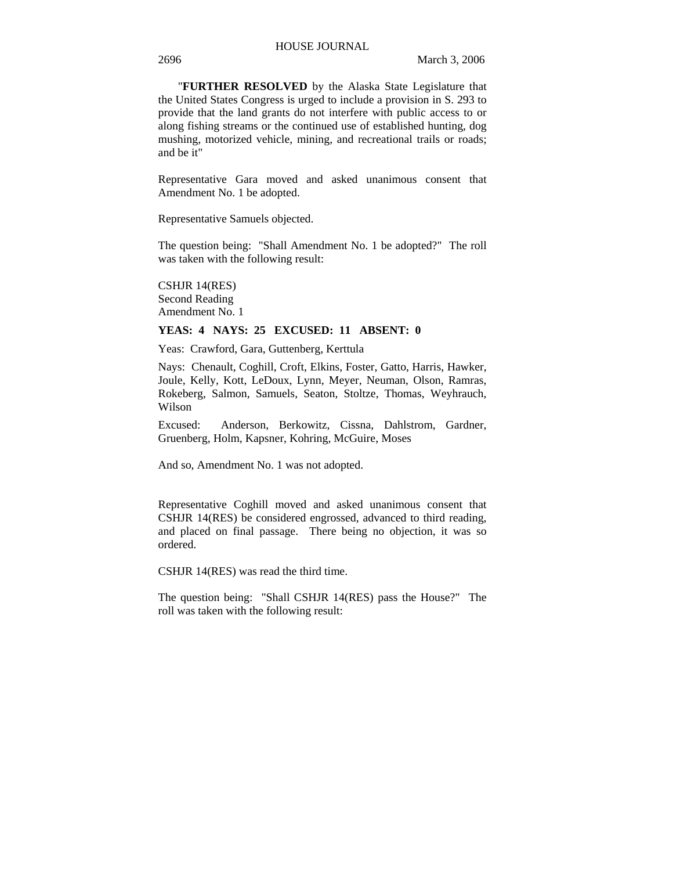"**FURTHER RESOLVED** by the Alaska State Legislature that the United States Congress is urged to include a provision in S. 293 to provide that the land grants do not interfere with public access to or along fishing streams or the continued use of established hunting, dog mushing, motorized vehicle, mining, and recreational trails or roads; and be it"

Representative Gara moved and asked unanimous consent that Amendment No. 1 be adopted.

Representative Samuels objected.

The question being: "Shall Amendment No. 1 be adopted?" The roll was taken with the following result:

CSHJR 14(RES) Second Reading Amendment No. 1

## **YEAS: 4 NAYS: 25 EXCUSED: 11 ABSENT: 0**

Yeas: Crawford, Gara, Guttenberg, Kerttula

Nays: Chenault, Coghill, Croft, Elkins, Foster, Gatto, Harris, Hawker, Joule, Kelly, Kott, LeDoux, Lynn, Meyer, Neuman, Olson, Ramras, Rokeberg, Salmon, Samuels, Seaton, Stoltze, Thomas, Weyhrauch, Wilson

Excused: Anderson, Berkowitz, Cissna, Dahlstrom, Gardner, Gruenberg, Holm, Kapsner, Kohring, McGuire, Moses

And so, Amendment No. 1 was not adopted.

Representative Coghill moved and asked unanimous consent that CSHJR 14(RES) be considered engrossed, advanced to third reading, and placed on final passage. There being no objection, it was so ordered.

CSHJR 14(RES) was read the third time.

The question being: "Shall CSHJR 14(RES) pass the House?" The roll was taken with the following result: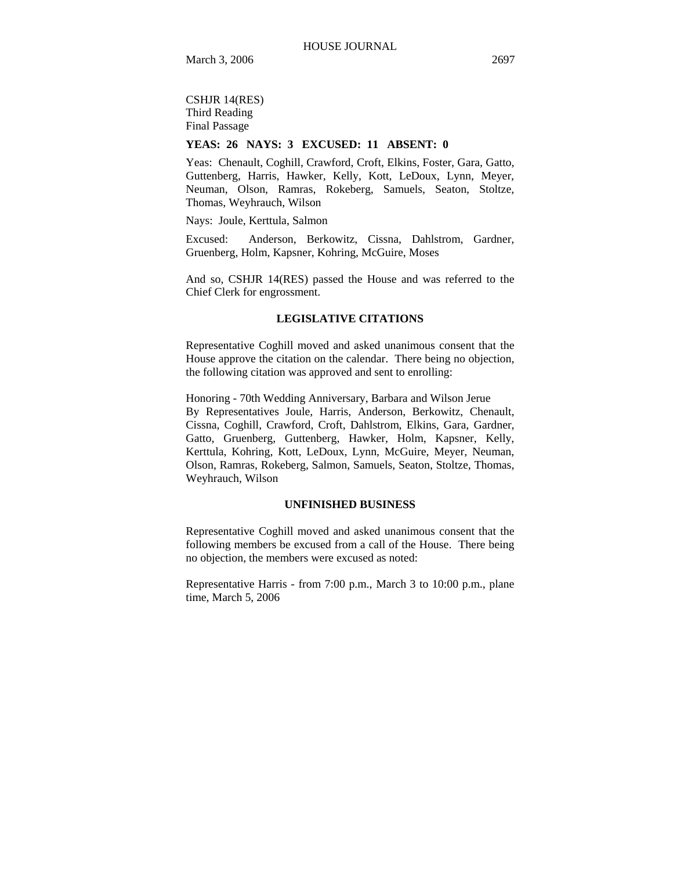CSHJR 14(RES) Third Reading Final Passage

## **YEAS: 26 NAYS: 3 EXCUSED: 11 ABSENT: 0**

Yeas: Chenault, Coghill, Crawford, Croft, Elkins, Foster, Gara, Gatto, Guttenberg, Harris, Hawker, Kelly, Kott, LeDoux, Lynn, Meyer, Neuman, Olson, Ramras, Rokeberg, Samuels, Seaton, Stoltze, Thomas, Weyhrauch, Wilson

Nays: Joule, Kerttula, Salmon

Excused: Anderson, Berkowitz, Cissna, Dahlstrom, Gardner, Gruenberg, Holm, Kapsner, Kohring, McGuire, Moses

And so, CSHJR 14(RES) passed the House and was referred to the Chief Clerk for engrossment.

#### **LEGISLATIVE CITATIONS**

Representative Coghill moved and asked unanimous consent that the House approve the citation on the calendar. There being no objection, the following citation was approved and sent to enrolling:

Honoring - 70th Wedding Anniversary, Barbara and Wilson Jerue By Representatives Joule, Harris, Anderson, Berkowitz, Chenault, Cissna, Coghill, Crawford, Croft, Dahlstrom, Elkins, Gara, Gardner, Gatto, Gruenberg, Guttenberg, Hawker, Holm, Kapsner, Kelly, Kerttula, Kohring, Kott, LeDoux, Lynn, McGuire, Meyer, Neuman, Olson, Ramras, Rokeberg, Salmon, Samuels, Seaton, Stoltze, Thomas, Weyhrauch, Wilson

#### **UNFINISHED BUSINESS**

Representative Coghill moved and asked unanimous consent that the following members be excused from a call of the House. There being no objection, the members were excused as noted:

Representative Harris - from 7:00 p.m., March 3 to 10:00 p.m., plane time, March 5, 2006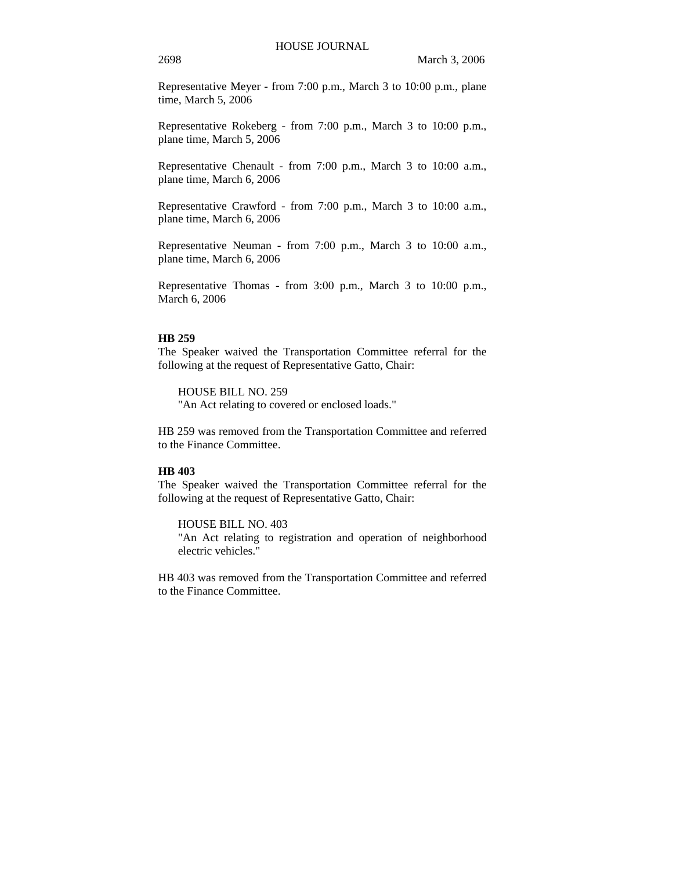Representative Meyer - from 7:00 p.m., March 3 to 10:00 p.m., plane time, March 5, 2006

Representative Rokeberg - from 7:00 p.m., March 3 to 10:00 p.m., plane time, March 5, 2006

Representative Chenault - from 7:00 p.m., March 3 to 10:00 a.m., plane time, March 6, 2006

Representative Crawford - from 7:00 p.m., March 3 to 10:00 a.m., plane time, March 6, 2006

Representative Neuman - from 7:00 p.m., March 3 to 10:00 a.m., plane time, March 6, 2006

Representative Thomas - from 3:00 p.m., March 3 to 10:00 p.m., March 6, 2006

## **HB 259**

The Speaker waived the Transportation Committee referral for the following at the request of Representative Gatto, Chair:

HOUSE BILL NO. 259 "An Act relating to covered or enclosed loads."

HB 259 was removed from the Transportation Committee and referred to the Finance Committee.

## **HB 403**

The Speaker waived the Transportation Committee referral for the following at the request of Representative Gatto, Chair:

HOUSE BILL NO. 403

"An Act relating to registration and operation of neighborhood electric vehicles."

HB 403 was removed from the Transportation Committee and referred to the Finance Committee.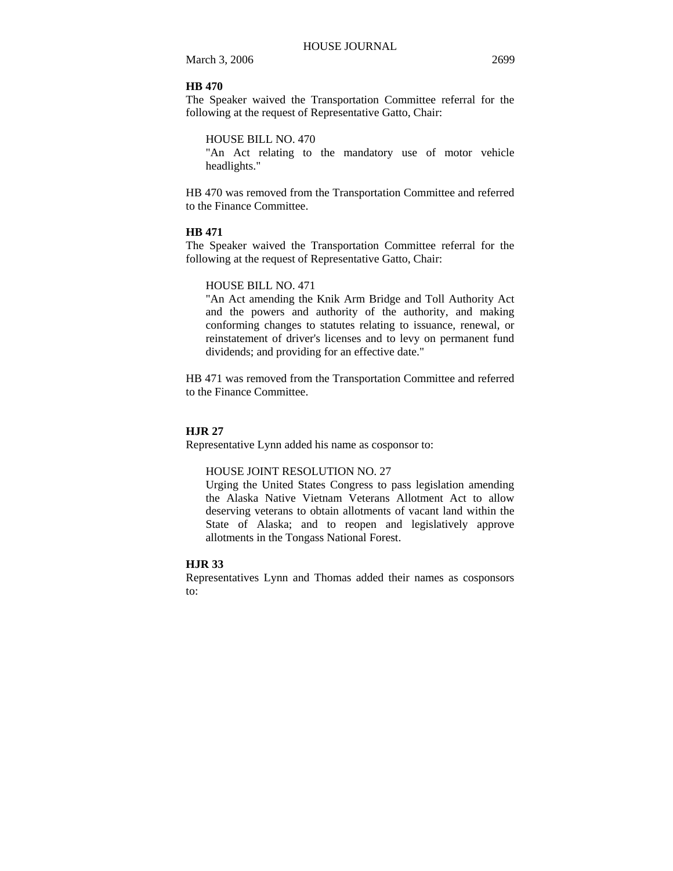## **HB 470**

The Speaker waived the Transportation Committee referral for the following at the request of Representative Gatto, Chair:

HOUSE BILL NO. 470

"An Act relating to the mandatory use of motor vehicle headlights."

HB 470 was removed from the Transportation Committee and referred to the Finance Committee.

#### **HB 471**

The Speaker waived the Transportation Committee referral for the following at the request of Representative Gatto, Chair:

## HOUSE BILL NO. 471

"An Act amending the Knik Arm Bridge and Toll Authority Act and the powers and authority of the authority, and making conforming changes to statutes relating to issuance, renewal, or reinstatement of driver's licenses and to levy on permanent fund dividends; and providing for an effective date."

HB 471 was removed from the Transportation Committee and referred to the Finance Committee.

#### **HJR 27**

Representative Lynn added his name as cosponsor to:

#### HOUSE JOINT RESOLUTION NO. 27

Urging the United States Congress to pass legislation amending the Alaska Native Vietnam Veterans Allotment Act to allow deserving veterans to obtain allotments of vacant land within the State of Alaska; and to reopen and legislatively approve allotments in the Tongass National Forest.

## **HJR 33**

Representatives Lynn and Thomas added their names as cosponsors to: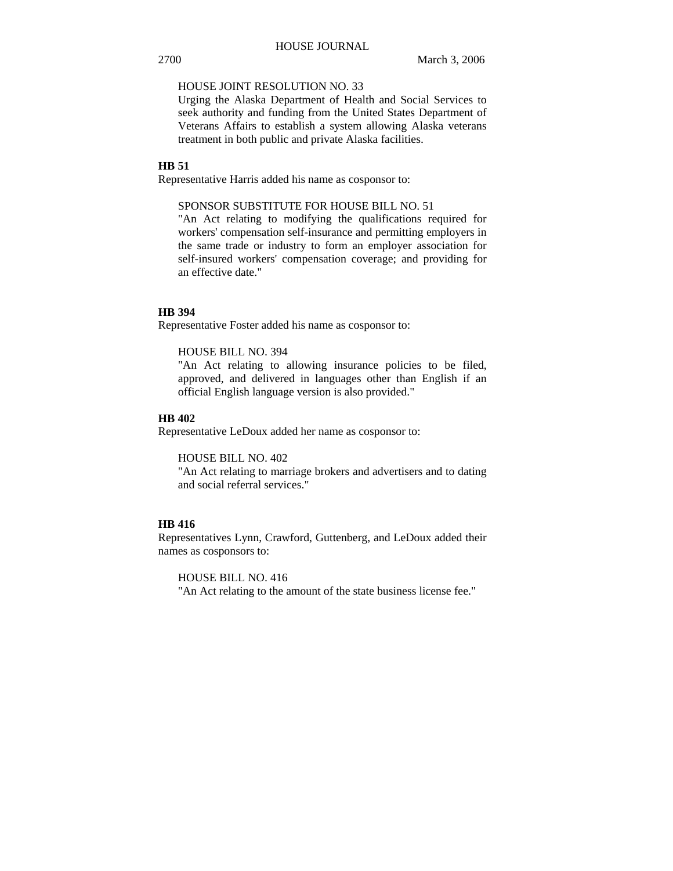## HOUSE JOINT RESOLUTION NO. 33

Urging the Alaska Department of Health and Social Services to seek authority and funding from the United States Department of Veterans Affairs to establish a system allowing Alaska veterans treatment in both public and private Alaska facilities.

## **HB 51**

Representative Harris added his name as cosponsor to:

## SPONSOR SUBSTITUTE FOR HOUSE BILL NO. 51

"An Act relating to modifying the qualifications required for workers' compensation self-insurance and permitting employers in the same trade or industry to form an employer association for self-insured workers' compensation coverage; and providing for an effective date."

## **HB 394**

Representative Foster added his name as cosponsor to:

#### HOUSE BILL NO. 394

"An Act relating to allowing insurance policies to be filed, approved, and delivered in languages other than English if an official English language version is also provided."

#### **HB 402**

Representative LeDoux added her name as cosponsor to:

HOUSE BILL NO. 402

"An Act relating to marriage brokers and advertisers and to dating and social referral services."

#### **HB 416**

Representatives Lynn, Crawford, Guttenberg, and LeDoux added their names as cosponsors to:

HOUSE BILL NO. 416

"An Act relating to the amount of the state business license fee."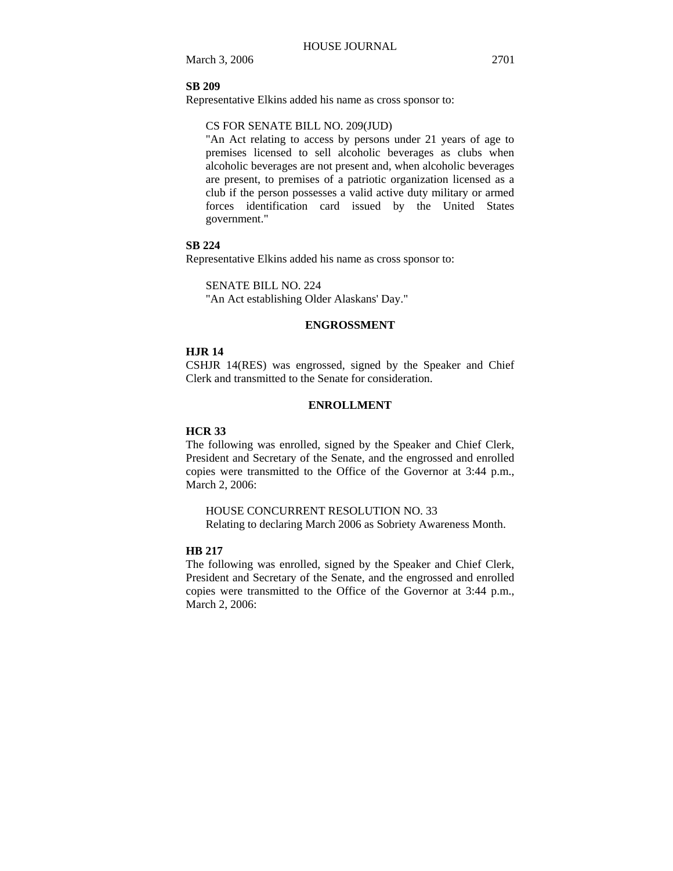#### **SB 209**

Representative Elkins added his name as cross sponsor to:

## CS FOR SENATE BILL NO. 209(JUD)

"An Act relating to access by persons under 21 years of age to premises licensed to sell alcoholic beverages as clubs when alcoholic beverages are not present and, when alcoholic beverages are present, to premises of a patriotic organization licensed as a club if the person possesses a valid active duty military or armed forces identification card issued by the United States government."

## **SB 224**

Representative Elkins added his name as cross sponsor to:

SENATE BILL NO. 224

"An Act establishing Older Alaskans' Day."

#### **ENGROSSMENT**

#### **HJR 14**

CSHJR 14(RES) was engrossed, signed by the Speaker and Chief Clerk and transmitted to the Senate for consideration.

## **ENROLLMENT**

## **HCR 33**

The following was enrolled, signed by the Speaker and Chief Clerk, President and Secretary of the Senate, and the engrossed and enrolled copies were transmitted to the Office of the Governor at 3:44 p.m., March 2, 2006:

HOUSE CONCURRENT RESOLUTION NO. 33 Relating to declaring March 2006 as Sobriety Awareness Month.

#### **HB 217**

The following was enrolled, signed by the Speaker and Chief Clerk, President and Secretary of the Senate, and the engrossed and enrolled copies were transmitted to the Office of the Governor at 3:44 p.m., March 2, 2006: